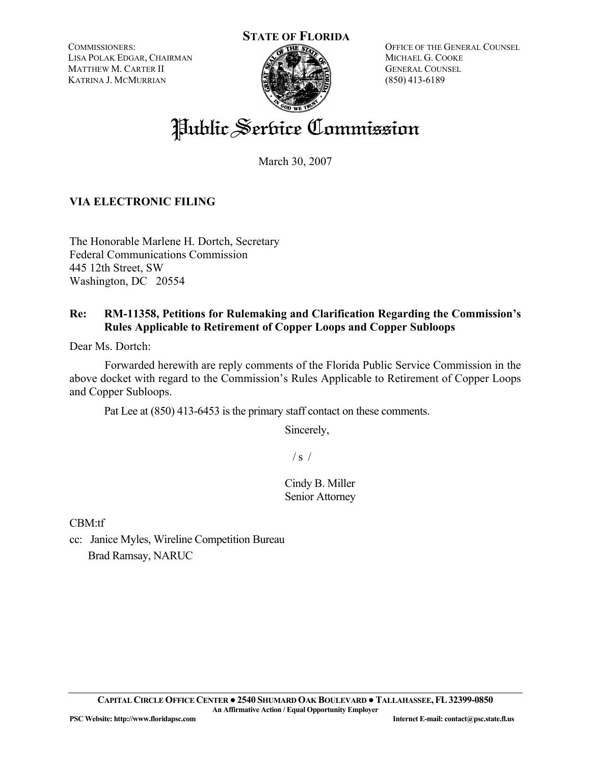COMMISSIONERS: LISA POLAK EDGAR, CHAIRMAN MATTHEW M. CARTER II KATRINA J. MCMURRIAN



OFFICE OF THE GENERAL COUNSEL MICHAEL G. COOKE GENERAL COUNSEL (850) 413-6189

# Public Service Commission

March 30, 2007

## **VIA ELECTRONIC FILING**

The Honorable Marlene H. Dortch, Secretary Federal Communications Commission 445 12th Street, SW Washington, DC 20554

### **Re: RM-11358, Petitions for Rulemaking and Clarification Regarding the Commission's Rules Applicable to Retirement of Copper Loops and Copper Subloops**

Dear Ms. Dortch:

 Forwarded herewith are reply comments of the Florida Public Service Commission in the above docket with regard to the Commission's Rules Applicable to Retirement of Copper Loops and Copper Subloops.

Pat Lee at (850) 413-6453 is the primary staff contact on these comments.

Sincerely,

 $/ s /$ 

Cindy B. Miller Senior Attorney

CBM:tf

cc: Janice Myles, Wireline Competition Bureau Brad Ramsay, NARUC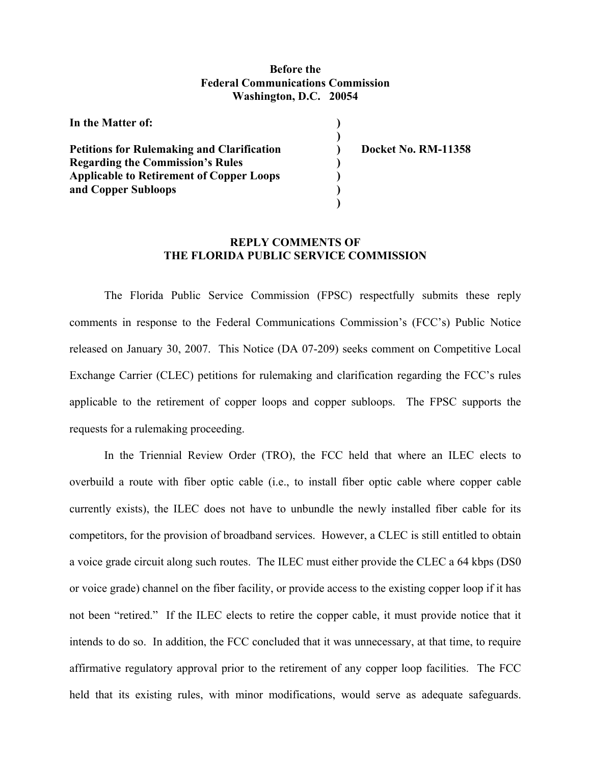#### **Before the Federal Communications Commission Washington, D.C. 20054**

| In the Matter of:                                 |                            |
|---------------------------------------------------|----------------------------|
| <b>Petitions for Rulemaking and Clarification</b> | <b>Docket No. RM-11358</b> |
| <b>Regarding the Commission's Rules</b>           |                            |
| <b>Applicable to Retirement of Copper Loops</b>   |                            |
| and Copper Subloops                               |                            |
|                                                   |                            |

#### **REPLY COMMENTS OF THE FLORIDA PUBLIC SERVICE COMMISSION**

The Florida Public Service Commission (FPSC) respectfully submits these reply comments in response to the Federal Communications Commission's (FCC's) Public Notice released on January 30, 2007. This Notice (DA 07-209) seeks comment on Competitive Local Exchange Carrier (CLEC) petitions for rulemaking and clarification regarding the FCC's rules applicable to the retirement of copper loops and copper subloops. The FPSC supports the requests for a rulemaking proceeding.

In the Triennial Review Order (TRO), the FCC held that where an ILEC elects to overbuild a route with fiber optic cable (i.e., to install fiber optic cable where copper cable currently exists), the ILEC does not have to unbundle the newly installed fiber cable for its competitors, for the provision of broadband services. However, a CLEC is still entitled to obtain a voice grade circuit along such routes. The ILEC must either provide the CLEC a 64 kbps (DS0 or voice grade) channel on the fiber facility, or provide access to the existing copper loop if it has not been "retired." If the ILEC elects to retire the copper cable, it must provide notice that it intends to do so. In addition, the FCC concluded that it was unnecessary, at that time, to require affirmative regulatory approval prior to the retirement of any copper loop facilities. The FCC held that its existing rules, with minor modifications, would serve as adequate safeguards.